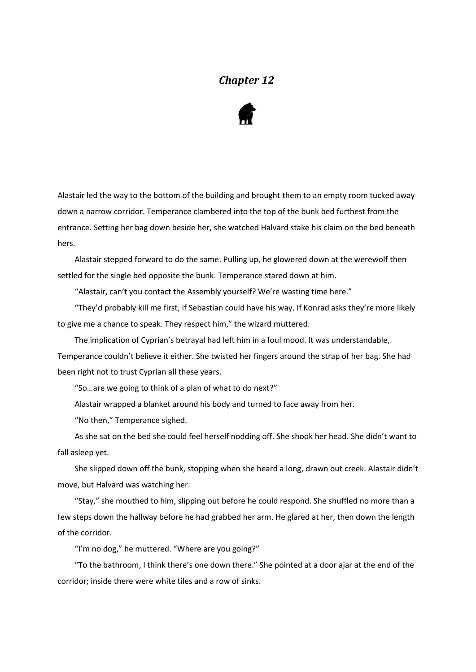## *Chapter 12*



Alastair led the way to the bottom of the building and brought them to an empty room tucked away down a narrow corridor. Temperance clambered into the top of the bunk bed furthest from the entrance. Setting her bag down beside her, she watched Halvard stake his claim on the bed beneath hers.

Alastair stepped forward to do the same. Pulling up, he glowered down at the werewolf then settled for the single bed opposite the bunk. Temperance stared down at him.

"Alastair, can't you contact the Assembly yourself? We're wasting time here."

"They'd probably kill me first, if Sebastian could have his way. If Konrad asks they're more likely to give me a chance to speak. They respect him," the wizard muttered.

The implication of Cyprian's betrayal had left him in a foul mood. It was understandable, Temperance couldn't believe it either. She twisted her fingers around the strap of her bag. She had been right not to trust Cyprian all these years.

"So…are we going to think of a plan of what to do next?"

Alastair wrapped a blanket around his body and turned to face away from her.

"No then," Temperance sighed.

As she sat on the bed she could feel herself nodding off. She shook her head. She didn't want to fall asleep yet.

She slipped down off the bunk, stopping when she heard a long, drawn out creek. Alastair didn't move, but Halvard was watching her.

"Stay," she mouthed to him, slipping out before he could respond. She shuffled no more than a few steps down the hallway before he had grabbed her arm. He glared at her, then down the length of the corridor.

"I'm no dog," he muttered. "Where are you going?"

"To the bathroom, I think there's one down there." She pointed at a door ajar at the end of the corridor; inside there were white tiles and a row of sinks.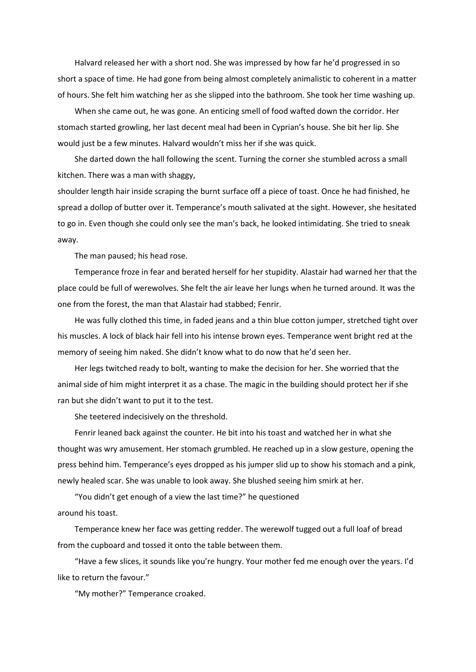Halvard released her with a short nod. She was impressed by how far he'd progressed in so short a space of time. He had gone from being almost completely animalistic to coherent in a matter of hours. She felt him watching her as she slipped into the bathroom. She took her time washing up.

When she came out, he was gone. An enticing smell of food wafted down the corridor. Her stomach started growling, her last decent meal had been in Cyprian's house. She bit her lip. She would just be a few minutes. Halvard wouldn't miss her if she was quick.

She darted down the hall following the scent. Turning the corner she stumbled across a small kitchen. There was a man with shaggy,

shoulder length hair inside scraping the burnt surface off a piece of toast. Once he had finished, he spread a dollop of butter over it. Temperance's mouth salivated at the sight. However, she hesitated to go in. Even though she could only see the man's back, he looked intimidating. She tried to sneak away.

The man paused; his head rose.

Temperance froze in fear and berated herself for her stupidity. Alastair had warned her that the place could be full of werewolves. She felt the air leave her lungs when he turned around. It was the one from the forest, the man that Alastair had stabbed; Fenrir.

He was fully clothed this time, in faded jeans and a thin blue cotton jumper, stretched tight over his muscles. A lock of black hair fell into his intense brown eyes. Temperance went bright red at the memory of seeing him naked. She didn't know what to do now that he'd seen her.

Her legs twitched ready to bolt, wanting to make the decision for her. She worried that the animal side of him might interpret it as a chase. The magic in the building should protect her if she ran but she didn't want to put it to the test.

She teetered indecisively on the threshold.

Fenrir leaned back against the counter. He bit into his toast and watched her in what she thought was wry amusement. Her stomach grumbled. He reached up in a slow gesture, opening the press behind him. Temperance's eyes dropped as his jumper slid up to show his stomach and a pink, newly healed scar. She was unable to look away. She blushed seeing him smirk at her.

"You didn't get enough of a view the last time?" he questioned around his toast.

Temperance knew her face was getting redder. The werewolf tugged out a full loaf of bread from the cupboard and tossed it onto the table between them.

"Have a few slices, it sounds like you're hungry. Your mother fed me enough over the years. I'd like to return the favour."

"My mother?" Temperance croaked.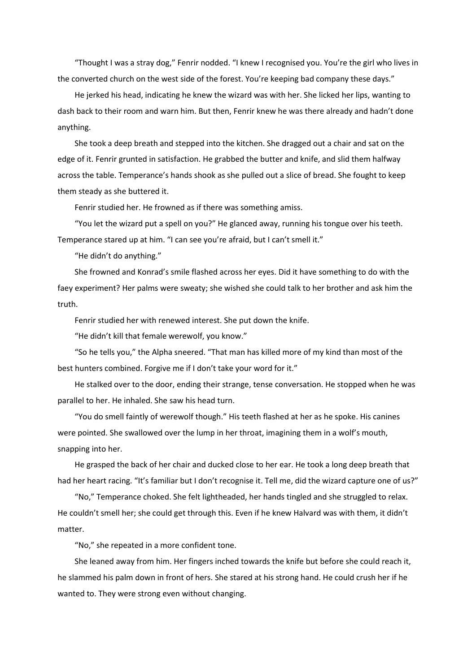"Thought I was a stray dog," Fenrir nodded. "I knew I recognised you. You're the girl who lives in the converted church on the west side of the forest. You're keeping bad company these days."

He jerked his head, indicating he knew the wizard was with her. She licked her lips, wanting to dash back to their room and warn him. But then, Fenrir knew he was there already and hadn't done anything.

She took a deep breath and stepped into the kitchen. She dragged out a chair and sat on the edge of it. Fenrir grunted in satisfaction. He grabbed the butter and knife, and slid them halfway across the table. Temperance's hands shook as she pulled out a slice of bread. She fought to keep them steady as she buttered it.

Fenrir studied her. He frowned as if there was something amiss.

"You let the wizard put a spell on you?" He glanced away, running his tongue over his teeth. Temperance stared up at him. "I can see you're afraid, but I can't smell it."

"He didn't do anything."

She frowned and Konrad's smile flashed across her eyes. Did it have something to do with the faey experiment? Her palms were sweaty; she wished she could talk to her brother and ask him the truth.

Fenrir studied her with renewed interest. She put down the knife.

"He didn't kill that female werewolf, you know."

"So he tells you," the Alpha sneered. "That man has killed more of my kind than most of the best hunters combined. Forgive me if I don't take your word for it."

He stalked over to the door, ending their strange, tense conversation. He stopped when he was parallel to her. He inhaled. She saw his head turn.

"You do smell faintly of werewolf though." His teeth flashed at her as he spoke. His canines were pointed. She swallowed over the lump in her throat, imagining them in a wolf's mouth, snapping into her.

He grasped the back of her chair and ducked close to her ear. He took a long deep breath that had her heart racing. "It's familiar but I don't recognise it. Tell me, did the wizard capture one of us?"

"No," Temperance choked. She felt lightheaded, her hands tingled and she struggled to relax. He couldn't smell her; she could get through this. Even if he knew Halvard was with them, it didn't matter.

"No," she repeated in a more confident tone.

She leaned away from him. Her fingers inched towards the knife but before she could reach it, he slammed his palm down in front of hers. She stared at his strong hand. He could crush her if he wanted to. They were strong even without changing.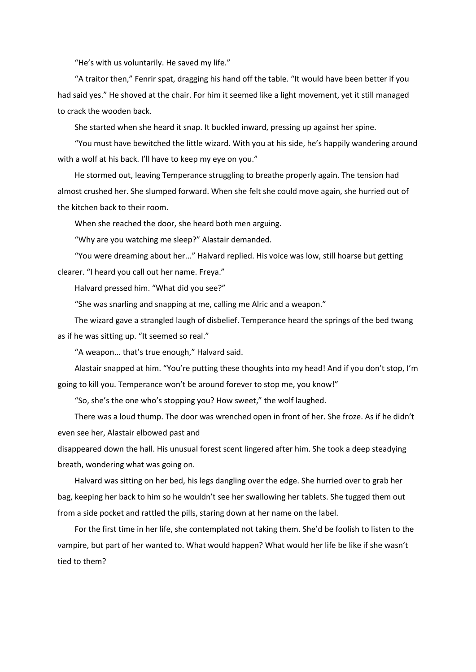"He's with us voluntarily. He saved my life."

"A traitor then," Fenrir spat, dragging his hand off the table. "It would have been better if you had said yes." He shoved at the chair. For him it seemed like a light movement, yet it still managed to crack the wooden back.

She started when she heard it snap. It buckled inward, pressing up against her spine.

"You must have bewitched the little wizard. With you at his side, he's happily wandering around with a wolf at his back. I'll have to keep my eye on you."

He stormed out, leaving Temperance struggling to breathe properly again. The tension had almost crushed her. She slumped forward. When she felt she could move again, she hurried out of the kitchen back to their room.

When she reached the door, she heard both men arguing.

"Why are you watching me sleep?" Alastair demanded.

"You were dreaming about her..." Halvard replied. His voice was low, still hoarse but getting clearer. "I heard you call out her name. Freya."

Halvard pressed him. "What did you see?"

"She was snarling and snapping at me, calling me Alric and a weapon."

The wizard gave a strangled laugh of disbelief. Temperance heard the springs of the bed twang as if he was sitting up. "It seemed so real."

"A weapon... that's true enough," Halvard said.

Alastair snapped at him. "You're putting these thoughts into my head! And if you don't stop, I'm going to kill you. Temperance won't be around forever to stop me, you know!"

"So, she's the one who's stopping you? How sweet," the wolf laughed.

There was a loud thump. The door was wrenched open in front of her. She froze. As if he didn't even see her, Alastair elbowed past and

disappeared down the hall. His unusual forest scent lingered after him. She took a deep steadying breath, wondering what was going on.

Halvard was sitting on her bed, his legs dangling over the edge. She hurried over to grab her bag, keeping her back to him so he wouldn't see her swallowing her tablets. She tugged them out from a side pocket and rattled the pills, staring down at her name on the label.

For the first time in her life, she contemplated not taking them. She'd be foolish to listen to the vampire, but part of her wanted to. What would happen? What would her life be like if she wasn't tied to them?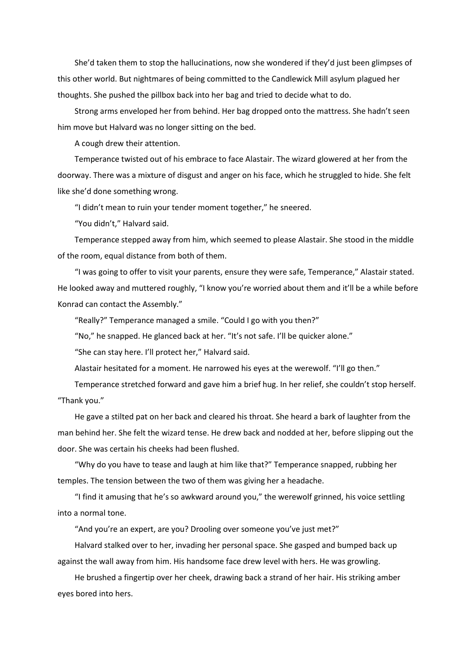She'd taken them to stop the hallucinations, now she wondered if they'd just been glimpses of this other world. But nightmares of being committed to the Candlewick Mill asylum plagued her thoughts. She pushed the pillbox back into her bag and tried to decide what to do.

Strong arms enveloped her from behind. Her bag dropped onto the mattress. She hadn't seen him move but Halvard was no longer sitting on the bed.

A cough drew their attention.

Temperance twisted out of his embrace to face Alastair. The wizard glowered at her from the doorway. There was a mixture of disgust and anger on his face, which he struggled to hide. She felt like she'd done something wrong.

"I didn't mean to ruin your tender moment together," he sneered.

"You didn't," Halvard said.

Temperance stepped away from him, which seemed to please Alastair. She stood in the middle of the room, equal distance from both of them.

"I was going to offer to visit your parents, ensure they were safe, Temperance," Alastair stated. He looked away and muttered roughly, "I know you're worried about them and it'll be a while before Konrad can contact the Assembly."

"Really?" Temperance managed a smile. "Could I go with you then?"

"No," he snapped. He glanced back at her. "It's not safe. I'll be quicker alone."

"She can stay here. I'll protect her," Halvard said.

Alastair hesitated for a moment. He narrowed his eyes at the werewolf. "I'll go then."

Temperance stretched forward and gave him a brief hug. In her relief, she couldn't stop herself. "Thank you."

He gave a stilted pat on her back and cleared his throat. She heard a bark of laughter from the man behind her. She felt the wizard tense. He drew back and nodded at her, before slipping out the door. She was certain his cheeks had been flushed.

"Why do you have to tease and laugh at him like that?" Temperance snapped, rubbing her temples. The tension between the two of them was giving her a headache.

"I find it amusing that he's so awkward around you," the werewolf grinned, his voice settling into a normal tone.

"And you're an expert, are you? Drooling over someone you've just met?"

Halvard stalked over to her, invading her personal space. She gasped and bumped back up against the wall away from him. His handsome face drew level with hers. He was growling.

He brushed a fingertip over her cheek, drawing back a strand of her hair. His striking amber eyes bored into hers.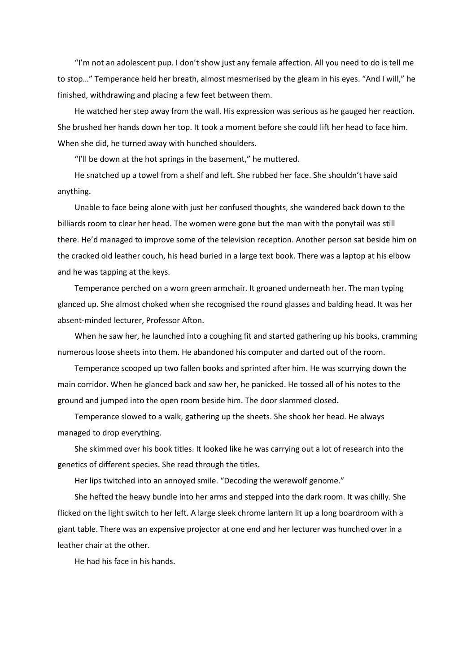"I'm not an adolescent pup. I don't show just any female affection. All you need to do is tell me to stop…" Temperance held her breath, almost mesmerised by the gleam in his eyes. "And I will," he finished, withdrawing and placing a few feet between them.

He watched her step away from the wall. His expression was serious as he gauged her reaction. She brushed her hands down her top. It took a moment before she could lift her head to face him. When she did, he turned away with hunched shoulders.

"I'll be down at the hot springs in the basement," he muttered.

He snatched up a towel from a shelf and left. She rubbed her face. She shouldn't have said anything.

Unable to face being alone with just her confused thoughts, she wandered back down to the billiards room to clear her head. The women were gone but the man with the ponytail was still there. He'd managed to improve some of the television reception. Another person sat beside him on the cracked old leather couch, his head buried in a large text book. There was a laptop at his elbow and he was tapping at the keys.

Temperance perched on a worn green armchair. It groaned underneath her. The man typing glanced up. She almost choked when she recognised the round glasses and balding head. It was her absent-minded lecturer, Professor Afton.

When he saw her, he launched into a coughing fit and started gathering up his books, cramming numerous loose sheets into them. He abandoned his computer and darted out of the room.

Temperance scooped up two fallen books and sprinted after him. He was scurrying down the main corridor. When he glanced back and saw her, he panicked. He tossed all of his notes to the ground and jumped into the open room beside him. The door slammed closed.

Temperance slowed to a walk, gathering up the sheets. She shook her head. He always managed to drop everything.

She skimmed over his book titles. It looked like he was carrying out a lot of research into the genetics of different species. She read through the titles.

Her lips twitched into an annoyed smile. "Decoding the werewolf genome."

She hefted the heavy bundle into her arms and stepped into the dark room. It was chilly. She flicked on the light switch to her left. A large sleek chrome lantern lit up a long boardroom with a giant table. There was an expensive projector at one end and her lecturer was hunched over in a leather chair at the other.

He had his face in his hands.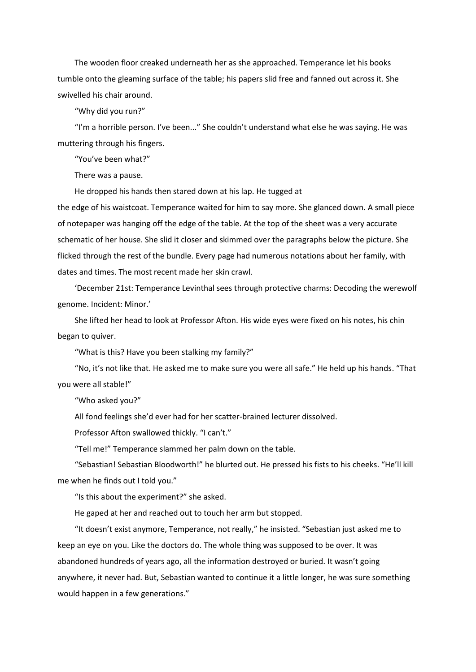The wooden floor creaked underneath her as she approached. Temperance let his books tumble onto the gleaming surface of the table; his papers slid free and fanned out across it. She swivelled his chair around.

"Why did you run?"

"I'm a horrible person. I've been..." She couldn't understand what else he was saying. He was muttering through his fingers.

"You've been what?"

There was a pause.

He dropped his hands then stared down at his lap. He tugged at

the edge of his waistcoat. Temperance waited for him to say more. She glanced down. A small piece of notepaper was hanging off the edge of the table. At the top of the sheet was a very accurate schematic of her house. She slid it closer and skimmed over the paragraphs below the picture. She flicked through the rest of the bundle. Every page had numerous notations about her family, with dates and times. The most recent made her skin crawl.

'December 21st: Temperance Levinthal sees through protective charms: Decoding the werewolf genome. Incident: Minor.'

She lifted her head to look at Professor Afton. His wide eyes were fixed on his notes, his chin began to quiver.

"What is this? Have you been stalking my family?"

"No, it's not like that. He asked me to make sure you were all safe." He held up his hands. "That you were all stable!"

"Who asked you?"

All fond feelings she'd ever had for her scatter-brained lecturer dissolved.

Professor Afton swallowed thickly. "I can't."

"Tell me!" Temperance slammed her palm down on the table.

"Sebastian! Sebastian Bloodworth!" he blurted out. He pressed his fists to his cheeks. "He'll kill me when he finds out I told you."

"Is this about the experiment?" she asked.

He gaped at her and reached out to touch her arm but stopped.

"It doesn't exist anymore, Temperance, not really," he insisted. "Sebastian just asked me to keep an eye on you. Like the doctors do. The whole thing was supposed to be over. It was abandoned hundreds of years ago, all the information destroyed or buried. It wasn't going anywhere, it never had. But, Sebastian wanted to continue it a little longer, he was sure something would happen in a few generations."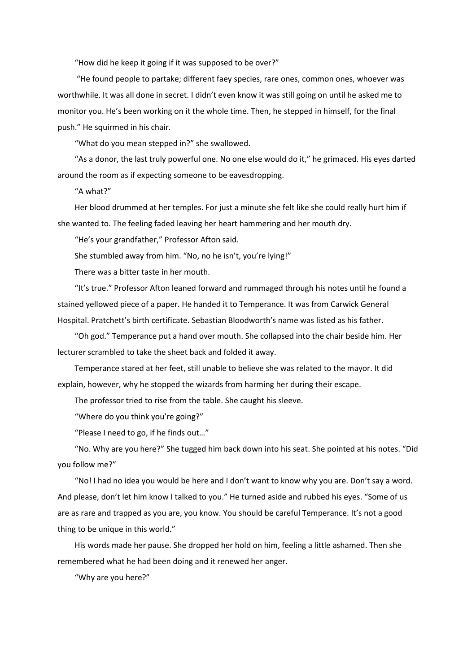"How did he keep it going if it was supposed to be over?"

"He found people to partake; different faey species, rare ones, common ones, whoever was worthwhile. It was all done in secret. I didn't even know it was still going on until he asked me to monitor you. He's been working on it the whole time. Then, he stepped in himself, for the final push." He squirmed in his chair.

"What do you mean stepped in?" she swallowed.

"As a donor, the last truly powerful one. No one else would do it," he grimaced. His eyes darted around the room as if expecting someone to be eavesdropping.

"A what?"

Her blood drummed at her temples. For just a minute she felt like she could really hurt him if she wanted to. The feeling faded leaving her heart hammering and her mouth dry.

"He's your grandfather," Professor Afton said.

She stumbled away from him. "No, no he isn't, you're lying!"

There was a bitter taste in her mouth.

"It's true." Professor Afton leaned forward and rummaged through his notes until he found a stained yellowed piece of a paper. He handed it to Temperance. It was from Carwick General Hospital. Pratchett's birth certificate. Sebastian Bloodworth's name was listed as his father.

"Oh god." Temperance put a hand over mouth. She collapsed into the chair beside him. Her lecturer scrambled to take the sheet back and folded it away.

Temperance stared at her feet, still unable to believe she was related to the mayor. It did explain, however, why he stopped the wizards from harming her during their escape.

The professor tried to rise from the table. She caught his sleeve.

"Where do you think you're going?"

"Please I need to go, if he finds out…"

"No. Why are you here?" She tugged him back down into his seat. She pointed at his notes. "Did you follow me?"

"No! I had no idea you would be here and I don't want to know why you are. Don't say a word. And please, don't let him know I talked to you." He turned aside and rubbed his eyes. "Some of us are as rare and trapped as you are, you know. You should be careful Temperance. It's not a good thing to be unique in this world."

His words made her pause. She dropped her hold on him, feeling a little ashamed. Then she remembered what he had been doing and it renewed her anger.

"Why are you here?"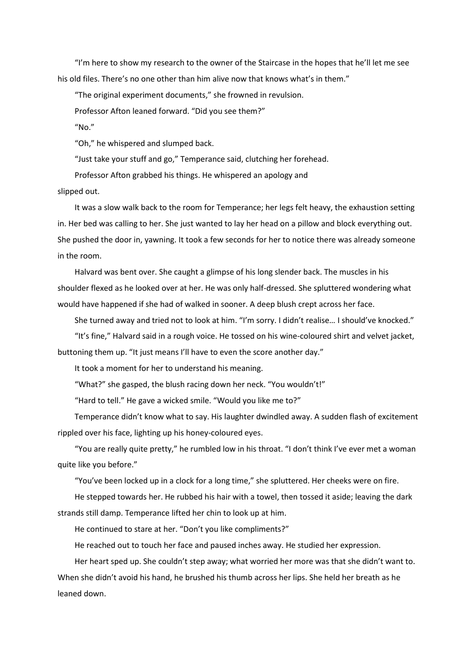"I'm here to show my research to the owner of the Staircase in the hopes that he'll let me see his old files. There's no one other than him alive now that knows what's in them."

"The original experiment documents," she frowned in revulsion.

Professor Afton leaned forward. "Did you see them?"

"No."

"Oh," he whispered and slumped back.

"Just take your stuff and go," Temperance said, clutching her forehead.

Professor Afton grabbed his things. He whispered an apology and

slipped out.

It was a slow walk back to the room for Temperance; her legs felt heavy, the exhaustion setting in. Her bed was calling to her. She just wanted to lay her head on a pillow and block everything out. She pushed the door in, yawning. It took a few seconds for her to notice there was already someone in the room.

Halvard was bent over. She caught a glimpse of his long slender back. The muscles in his shoulder flexed as he looked over at her. He was only half-dressed. She spluttered wondering what would have happened if she had of walked in sooner. A deep blush crept across her face.

She turned away and tried not to look at him. "I'm sorry. I didn't realise… I should've knocked."

"It's fine," Halvard said in a rough voice. He tossed on his wine-coloured shirt and velvet jacket, buttoning them up. "It just means I'll have to even the score another day."

It took a moment for her to understand his meaning.

"What?" she gasped, the blush racing down her neck. "You wouldn't!"

"Hard to tell." He gave a wicked smile. "Would you like me to?"

Temperance didn't know what to say. His laughter dwindled away. A sudden flash of excitement rippled over his face, lighting up his honey-coloured eyes.

"You are really quite pretty," he rumbled low in his throat. "I don't think I've ever met a woman quite like you before."

"You've been locked up in a clock for a long time," she spluttered. Her cheeks were on fire.

He stepped towards her. He rubbed his hair with a towel, then tossed it aside; leaving the dark strands still damp. Temperance lifted her chin to look up at him.

He continued to stare at her. "Don't you like compliments?"

He reached out to touch her face and paused inches away. He studied her expression.

Her heart sped up. She couldn't step away; what worried her more was that she didn't want to. When she didn't avoid his hand, he brushed his thumb across her lips. She held her breath as he leaned down.